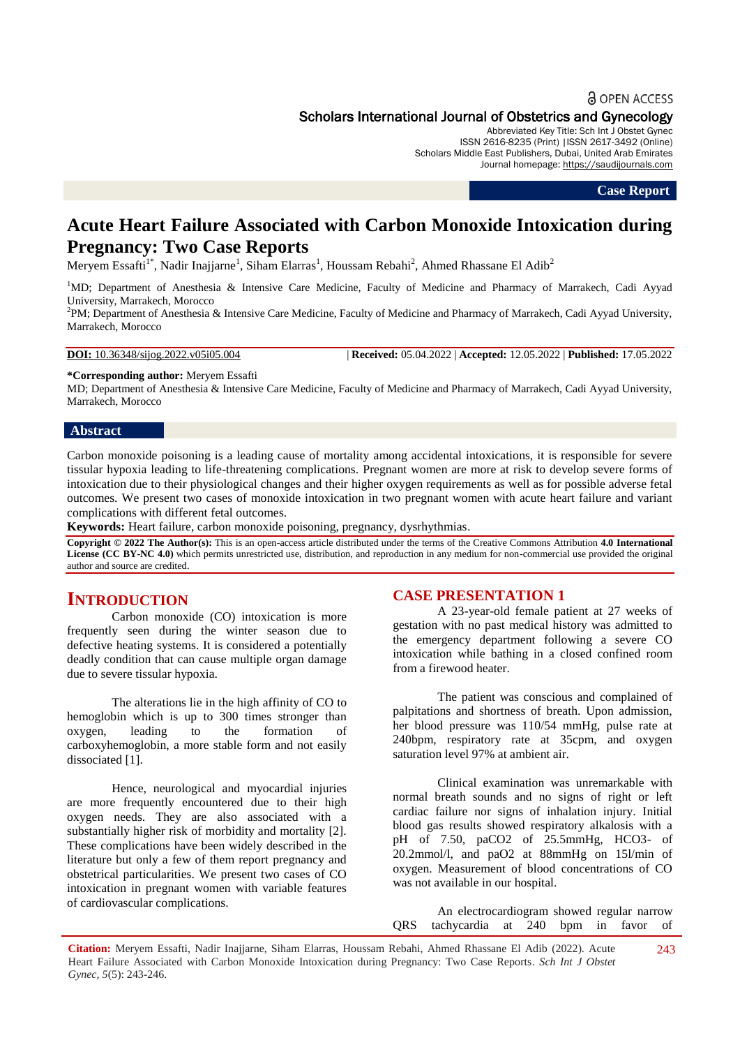## **a** OPEN ACCESS

# Scholars International Journal of Obstetrics and Gynecology

Abbreviated Key Title: Sch Int J Obstet Gynec ISSN 2616-8235 (Print) |ISSN 2617-3492 (Online) Scholars Middle East Publishers, Dubai, United Arab Emirates Journal homepage: [https://saudijournals.com](https://saudijournals.com/sijog)

**Case Report**

# **Acute Heart Failure Associated with Carbon Monoxide Intoxication during Pregnancy: Two Case Reports**

Meryem Essafti<sup>1\*</sup>, Nadir Inajjarne<sup>1</sup>, Siham Elarras<sup>1</sup>, Houssam Rebahi<sup>2</sup>, Ahmed Rhassane El Adib<sup>2</sup>

<sup>1</sup>MD; Department of Anesthesia & Intensive Care Medicine, Faculty of Medicine and Pharmacy of Marrakech, Cadi Ayyad University, Marrakech, Morocco

2 PM; Department of Anesthesia & Intensive Care Medicine, Faculty of Medicine and Pharmacy of Marrakech, Cadi Ayyad University, Marrakech, Morocco

**DOI:** 10.36348/sijog.2022.v05i05.004 | **Received:** 05.04.2022 | **Accepted:** 12.05.2022 | **Published:** 17.05.2022

**\*Corresponding author:** Meryem Essafti

MD; Department of Anesthesia & Intensive Care Medicine, Faculty of Medicine and Pharmacy of Marrakech, Cadi Ayyad University, Marrakech, Morocco

# **Abstract**

Carbon monoxide poisoning is a leading cause of mortality among accidental intoxications, it is responsible for severe tissular hypoxia leading to life-threatening complications. Pregnant women are more at risk to develop severe forms of intoxication due to their physiological changes and their higher oxygen requirements as well as for possible adverse fetal outcomes. We present two cases of monoxide intoxication in two pregnant women with acute heart failure and variant complications with different fetal outcomes.

**Keywords:** Heart failure, carbon monoxide poisoning, pregnancy, dysrhythmias.

**Copyright © 2022 The Author(s):** This is an open-access article distributed under the terms of the Creative Commons Attribution **4.0 International License (CC BY-NC 4.0)** which permits unrestricted use, distribution, and reproduction in any medium for non-commercial use provided the original author and source are credited.

# **INTRODUCTION**

Carbon monoxide (CO) intoxication is more frequently seen during the winter season due to defective heating systems. It is considered a potentially deadly condition that can cause multiple organ damage due to severe tissular hypoxia.

The alterations lie in the high affinity of CO to hemoglobin which is up to 300 times stronger than oxygen, leading to the formation of carboxyhemoglobin, a more stable form and not easily dissociated [1].

Hence, neurological and myocardial injuries are more frequently encountered due to their high oxygen needs. They are also associated with a substantially higher risk of morbidity and mortality [2]. These complications have been widely described in the literature but only a few of them report pregnancy and obstetrical particularities. We present two cases of CO intoxication in pregnant women with variable features of cardiovascular complications.

#### **CASE PRESENTATION 1**

A 23-year-old female patient at 27 weeks of gestation with no past medical history was admitted to the emergency department following a severe CO intoxication while bathing in a closed confined room from a firewood heater.

The patient was conscious and complained of palpitations and shortness of breath. Upon admission, her blood pressure was 110/54 mmHg, pulse rate at 240bpm, respiratory rate at 35cpm, and oxygen saturation level 97% at ambient air.

Clinical examination was unremarkable with normal breath sounds and no signs of right or left cardiac failure nor signs of inhalation injury. Initial blood gas results showed respiratory alkalosis with a pH of 7.50, paCO2 of 25.5mmHg, HCO3- of 20.2mmol/l, and paO2 at 88mmHg on 15l/min of oxygen. Measurement of blood concentrations of CO was not available in our hospital.

An electrocardiogram showed regular narrow QRS tachycardia at 240 bpm in favor of

**Citation:** Meryem Essafti, Nadir Inajjarne, Siham Elarras, Houssam Rebahi, Ahmed Rhassane El Adib (2022). Acute Heart Failure Associated with Carbon Monoxide Intoxication during Pregnancy: Two Case Reports. *Sch Int J Obstet Gynec, 5*(5): 243-246. 243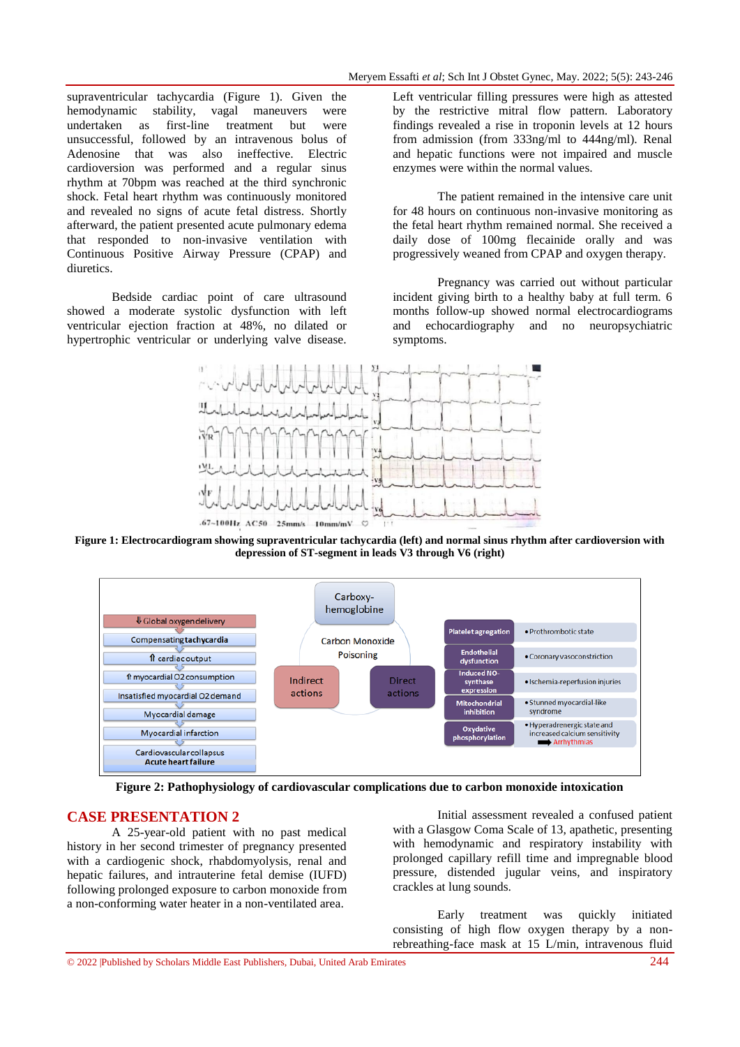supraventricular tachycardia (Figure 1). Given the hemodynamic stability, vagal maneuvers were undertaken as first-line treatment but were unsuccessful, followed by an intravenous bolus of Adenosine that was also ineffective. Electric cardioversion was performed and a regular sinus rhythm at 70bpm was reached at the third synchronic shock. Fetal heart rhythm was continuously monitored and revealed no signs of acute fetal distress. Shortly afterward, the patient presented acute pulmonary edema that responded to non-invasive ventilation with Continuous Positive Airway Pressure (CPAP) and diuretics.

Bedside cardiac point of care ultrasound showed a moderate systolic dysfunction with left ventricular ejection fraction at 48%, no dilated or hypertrophic ventricular or underlying valve disease.

Left ventricular filling pressures were high as attested by the restrictive mitral flow pattern. Laboratory findings revealed a rise in troponin levels at 12 hours from admission (from 333ng/ml to 444ng/ml). Renal and hepatic functions were not impaired and muscle enzymes were within the normal values.

The patient remained in the intensive care unit for 48 hours on continuous non-invasive monitoring as the fetal heart rhythm remained normal. She received a daily dose of 100mg flecainide orally and was progressively weaned from CPAP and oxygen therapy.

Pregnancy was carried out without particular incident giving birth to a healthy baby at full term. 6 months follow-up showed normal electrocardiograms and echocardiography and no neuropsychiatric symptoms.



**Figure 1: Electrocardiogram showing supraventricular tachycardia (left) and normal sinus rhythm after cardioversion with depression of ST-segment in leads V3 through V6 (right)**



**Figure 2: Pathophysiology of cardiovascular complications due to carbon monoxide intoxication**

# **CASE PRESENTATION 2**

A 25-year-old patient with no past medical history in her second trimester of pregnancy presented with a cardiogenic shock, rhabdomyolysis, renal and hepatic failures, and intrauterine fetal demise (IUFD) following prolonged exposure to carbon monoxide from a non-conforming water heater in a non-ventilated area.

Initial assessment revealed a confused patient with a Glasgow Coma Scale of 13, apathetic, presenting with hemodynamic and respiratory instability with prolonged capillary refill time and impregnable blood pressure, distended jugular veins, and inspiratory crackles at lung sounds.

Early treatment was quickly initiated consisting of high flow oxygen therapy by a nonrebreathing-face mask at 15 L/min, intravenous fluid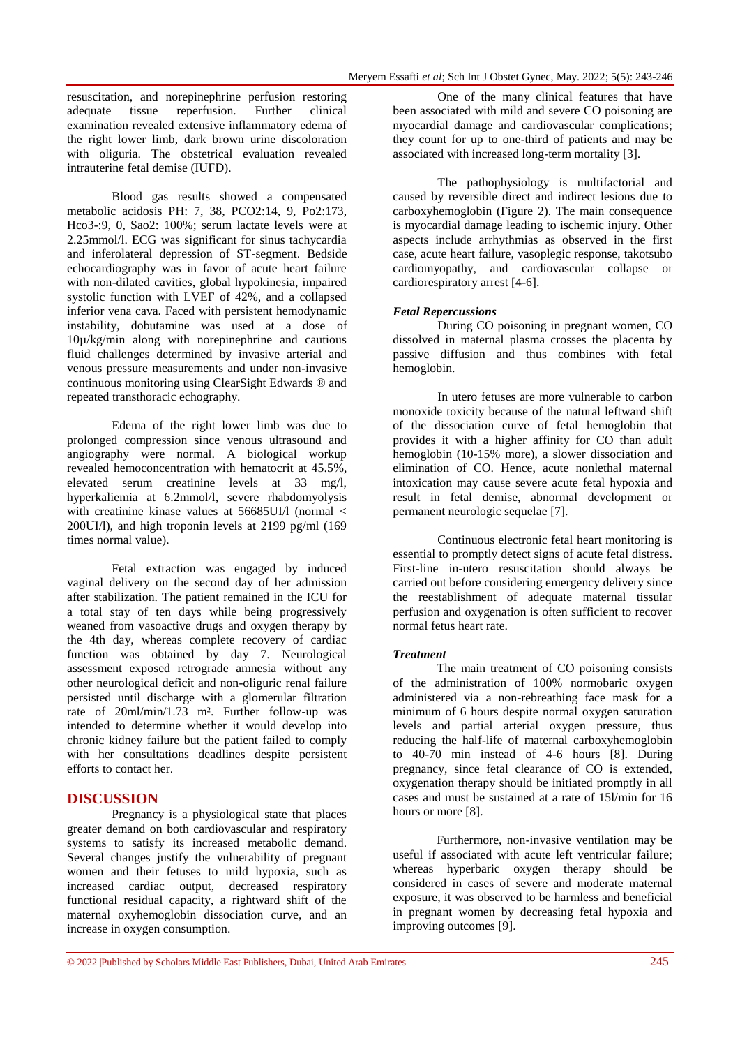resuscitation, and norepinephrine perfusion restoring adequate tissue reperfusion. Further clinical examination revealed extensive inflammatory edema of the right lower limb, dark brown urine discoloration with oliguria. The obstetrical evaluation revealed intrauterine fetal demise (IUFD).

Blood gas results showed a compensated metabolic acidosis PH: 7, 38, PCO2:14, 9, Po2:173, Hco3-:9, 0, Sao2: 100%; serum lactate levels were at 2.25mmol/l. ECG was significant for sinus tachycardia and inferolateral depression of ST-segment. Bedside echocardiography was in favor of acute heart failure with non-dilated cavities, global hypokinesia, impaired systolic function with LVEF of 42%, and a collapsed inferior vena cava. Faced with persistent hemodynamic instability, dobutamine was used at a dose of 10µ/kg/min along with norepinephrine and cautious fluid challenges determined by invasive arterial and venous pressure measurements and under non-invasive continuous monitoring using ClearSight Edwards ® and repeated transthoracic echography.

Edema of the right lower limb was due to prolonged compression since venous ultrasound and angiography were normal. A biological workup revealed hemoconcentration with hematocrit at 45.5%, elevated serum creatinine levels at 33 mg/l, hyperkaliemia at 6.2mmol/l, severe rhabdomyolysis with creatinine kinase values at  $56685$ UI/l (normal  $\lt$ 200UI/l), and high troponin levels at 2199 pg/ml (169 times normal value).

Fetal extraction was engaged by induced vaginal delivery on the second day of her admission after stabilization. The patient remained in the ICU for a total stay of ten days while being progressively weaned from vasoactive drugs and oxygen therapy by the 4th day, whereas complete recovery of cardiac function was obtained by day 7. Neurological assessment exposed retrograde amnesia without any other neurological deficit and non-oliguric renal failure persisted until discharge with a glomerular filtration rate of 20ml/min/1.73 m². Further follow-up was intended to determine whether it would develop into chronic kidney failure but the patient failed to comply with her consultations deadlines despite persistent efforts to contact her.

# **DISCUSSION**

Pregnancy is a physiological state that places greater demand on both cardiovascular and respiratory systems to satisfy its increased metabolic demand. Several changes justify the vulnerability of pregnant women and their fetuses to mild hypoxia, such as increased cardiac output, decreased respiratory functional residual capacity, a rightward shift of the maternal oxyhemoglobin dissociation curve, and an increase in oxygen consumption.

One of the many clinical features that have been associated with mild and severe CO poisoning are myocardial damage and cardiovascular complications; they count for up to one-third of patients and may be associated with increased long-term mortality [3].

The pathophysiology is multifactorial and caused by reversible direct and indirect lesions due to carboxyhemoglobin (Figure 2). The main consequence is myocardial damage leading to ischemic injury. Other aspects include arrhythmias as observed in the first case, acute heart failure, vasoplegic response, takotsubo cardiomyopathy, and cardiovascular collapse or cardiorespiratory arrest [4-6].

#### *Fetal Repercussions*

During CO poisoning in pregnant women, CO dissolved in maternal plasma crosses the placenta by passive diffusion and thus combines with fetal hemoglobin.

In utero fetuses are more vulnerable to carbon monoxide toxicity because of the natural leftward shift of the dissociation curve of fetal hemoglobin that provides it with a higher affinity for CO than adult hemoglobin (10-15% more), a slower dissociation and elimination of CO. Hence, acute nonlethal maternal intoxication may cause severe acute fetal hypoxia and result in fetal demise, abnormal development or permanent neurologic sequelae [7].

Continuous electronic fetal heart monitoring is essential to promptly detect signs of acute fetal distress. First-line in-utero resuscitation should always be carried out before considering emergency delivery since the reestablishment of adequate maternal tissular perfusion and oxygenation is often sufficient to recover normal fetus heart rate.

#### *Treatment*

The main treatment of CO poisoning consists of the administration of 100% normobaric oxygen administered via a non-rebreathing face mask for a minimum of 6 hours despite normal oxygen saturation levels and partial arterial oxygen pressure, thus reducing the half-life of maternal carboxyhemoglobin to 40-70 min instead of 4-6 hours [8]. During pregnancy, since fetal clearance of CO is extended, oxygenation therapy should be initiated promptly in all cases and must be sustained at a rate of 15l/min for 16 hours or more [8].

Furthermore, non-invasive ventilation may be useful if associated with acute left ventricular failure; whereas hyperbaric oxygen therapy should be considered in cases of severe and moderate maternal exposure, it was observed to be harmless and beneficial in pregnant women by decreasing fetal hypoxia and improving outcomes [9].